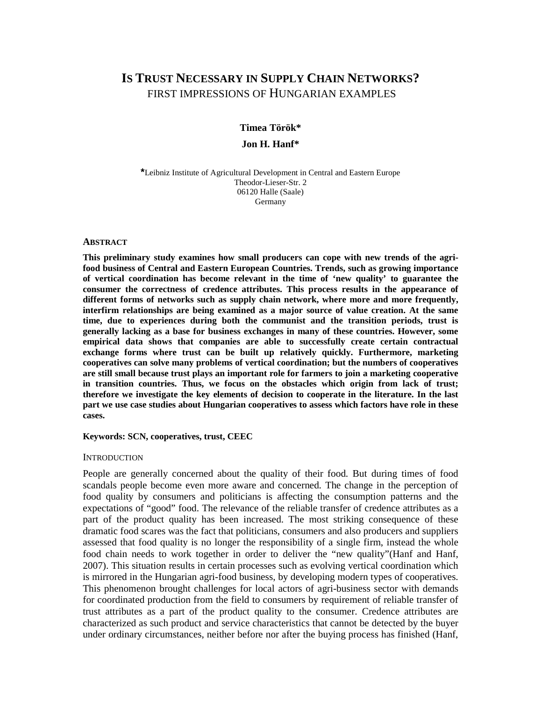# **IS TRUST NECESSARY IN SUPPLY CHAIN NETWORKS?**  FIRST IMPRESSIONS OF HUNGARIAN EXAMPLES

# **Timea Török\* Jon H. Hanf\***

**\***Leibniz Institute of Agricultural Development in Central and Eastern Europe Theodor-Lieser-Str. 2 06120 Halle (Saale) Germany

#### **ABSTRACT**

**This preliminary study examines how small producers can cope with new trends of the agrifood business of Central and Eastern European Countries. Trends, such as growing importance of vertical coordination has become relevant in the time of 'new quality' to guarantee the consumer the correctness of credence attributes. This process results in the appearance of different forms of networks such as supply chain network, where more and more frequently, interfirm relationships are being examined as a major source of value creation. At the same time, due to experiences during both the communist and the transition periods, trust is generally lacking as a base for business exchanges in many of these countries. However, some empirical data shows that companies are able to successfully create certain contractual exchange forms where trust can be built up relatively quickly. Furthermore, marketing cooperatives can solve many problems of vertical coordination; but the numbers of cooperatives are still small because trust plays an important role for farmers to join a marketing cooperative in transition countries. Thus, we focus on the obstacles which origin from lack of trust; therefore we investigate the key elements of decision to cooperate in the literature. In the last part we use case studies about Hungarian cooperatives to assess which factors have role in these cases.** 

#### **Keywords: SCN, cooperatives, trust, CEEC**

#### **INTRODUCTION**

People are generally concerned about the quality of their food. But during times of food scandals people become even more aware and concerned. The change in the perception of food quality by consumers and politicians is affecting the consumption patterns and the expectations of "good" food. The relevance of the reliable transfer of credence attributes as a part of the product quality has been increased. The most striking consequence of these dramatic food scares was the fact that politicians, consumers and also producers and suppliers assessed that food quality is no longer the responsibility of a single firm, instead the whole food chain needs to work together in order to deliver the "new quality"(Hanf and Hanf, 2007). This situation results in certain processes such as evolving vertical coordination which is mirrored in the Hungarian agri-food business, by developing modern types of cooperatives. This phenomenon brought challenges for local actors of agri-business sector with demands for coordinated production from the field to consumers by requirement of reliable transfer of trust attributes as a part of the product quality to the consumer. Credence attributes are characterized as such product and service characteristics that cannot be detected by the buyer under ordinary circumstances, neither before nor after the buying process has finished (Hanf,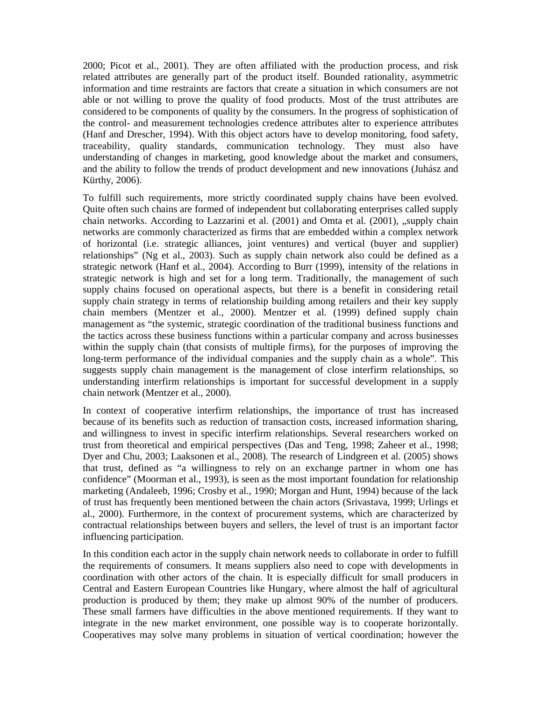2000; Picot et al., 2001). They are often affiliated with the production process, and risk related attributes are generally part of the product itself. Bounded rationality, asymmetric information and time restraints are factors that create a situation in which consumers are not able or not willing to prove the quality of food products. Most of the trust attributes are considered to be components of quality by the consumers. In the progress of sophistication of the control- and measurement technologies credence attributes alter to experience attributes (Hanf and Drescher, 1994). With this object actors have to develop monitoring, food safety, traceability, quality standards, communication technology. They must also have understanding of changes in marketing, good knowledge about the market and consumers, and the ability to follow the trends of product development and new innovations (Juhász and Kürthy, 2006).

To fulfill such requirements, more strictly coordinated supply chains have been evolved. Quite often such chains are formed of independent but collaborating enterprises called supply chain networks. According to Lazzarini et al. (2001) and Omta et al. (2001), "supply chain networks are commonly characterized as firms that are embedded within a complex network of horizontal (i.e. strategic alliances, joint ventures) and vertical (buyer and supplier) relationships" (Ng et al., 2003). Such as supply chain network also could be defined as a strategic network (Hanf et al., 2004). According to Burr (1999), intensity of the relations in strategic network is high and set for a long term. Traditionally, the management of such supply chains focused on operational aspects, but there is a benefit in considering retail supply chain strategy in terms of relationship building among retailers and their key supply chain members (Mentzer et al., 2000). Mentzer et al. (1999) defined supply chain management as "the systemic, strategic coordination of the traditional business functions and the tactics across these business functions within a particular company and across businesses within the supply chain (that consists of multiple firms), for the purposes of improving the long-term performance of the individual companies and the supply chain as a whole". This suggests supply chain management is the management of close interfirm relationships, so understanding interfirm relationships is important for successful development in a supply chain network (Mentzer et al., 2000).

In context of cooperative interfirm relationships, the importance of trust has increased because of its benefits such as reduction of transaction costs, increased information sharing, and willingness to invest in specific interfirm relationships. Several researchers worked on trust from theoretical and empirical perspectives (Das and Teng, 1998; Zaheer et al., 1998; Dyer and Chu, 2003; Laaksonen et al., 2008). The research of Lindgreen et al. (2005) shows that trust, defined as "a willingness to rely on an exchange partner in whom one has confidence" (Moorman et al., 1993), is seen as the most important foundation for relationship marketing (Andaleeb, 1996; Crosby et al., 1990; Morgan and Hunt, 1994) because of the lack of trust has frequently been mentioned between the chain actors (Srivastava, 1999; Urlings et al., 2000). Furthermore, in the context of procurement systems, which are characterized by contractual relationships between buyers and sellers, the level of trust is an important factor influencing participation.

In this condition each actor in the supply chain network needs to collaborate in order to fulfill the requirements of consumers. It means suppliers also need to cope with developments in coordination with other actors of the chain. It is especially difficult for small producers in Central and Eastern European Countries like Hungary, where almost the half of agricultural production is produced by them; they make up almost 90% of the number of producers. These small farmers have difficulties in the above mentioned requirements. If they want to integrate in the new market environment, one possible way is to cooperate horizontally. Cooperatives may solve many problems in situation of vertical coordination; however the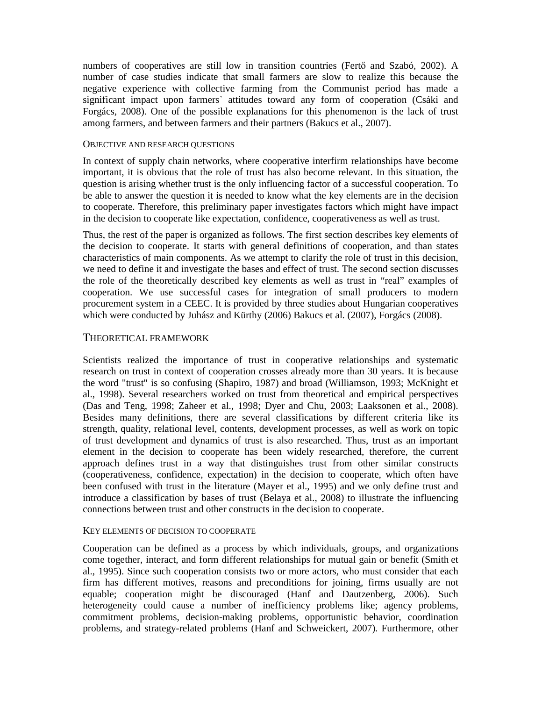numbers of cooperatives are still low in transition countries (Fertő and Szabó, 2002). A number of case studies indicate that small farmers are slow to realize this because the negative experience with collective farming from the Communist period has made a significant impact upon farmers` attitudes toward any form of cooperation (Csáki and Forgács, 2008). One of the possible explanations for this phenomenon is the lack of trust among farmers, and between farmers and their partners (Bakucs et al., 2007).

### OBJECTIVE AND RESEARCH QUESTIONS

In context of supply chain networks, where cooperative interfirm relationships have become important, it is obvious that the role of trust has also become relevant. In this situation, the question is arising whether trust is the only influencing factor of a successful cooperation. To be able to answer the question it is needed to know what the key elements are in the decision to cooperate. Therefore, this preliminary paper investigates factors which might have impact in the decision to cooperate like expectation, confidence, cooperativeness as well as trust.

Thus, the rest of the paper is organized as follows. The first section describes key elements of the decision to cooperate. It starts with general definitions of cooperation, and than states characteristics of main components. As we attempt to clarify the role of trust in this decision, we need to define it and investigate the bases and effect of trust. The second section discusses the role of the theoretically described key elements as well as trust in "real" examples of cooperation. We use successful cases for integration of small producers to modern procurement system in a CEEC. It is provided by three studies about Hungarian cooperatives which were conducted by Juhász and Kürthy (2006) Bakucs et al. (2007), Forgács (2008).

# THEORETICAL FRAMEWORK

Scientists realized the importance of trust in cooperative relationships and systematic research on trust in context of cooperation crosses already more than 30 years. It is because the word "trust" is so confusing (Shapiro, 1987) and broad (Williamson, 1993; McKnight et al., 1998). Several researchers worked on trust from theoretical and empirical perspectives (Das and Teng, 1998; Zaheer et al., 1998; Dyer and Chu, 2003; Laaksonen et al., 2008). Besides many definitions, there are several classifications by different criteria like its strength, quality, relational level, contents, development processes, as well as work on topic of trust development and dynamics of trust is also researched. Thus, trust as an important element in the decision to cooperate has been widely researched, therefore, the current approach defines trust in a way that distinguishes trust from other similar constructs (cooperativeness, confidence, expectation) in the decision to cooperate, which often have been confused with trust in the literature (Mayer et al., 1995) and we only define trust and introduce a classification by bases of trust (Belaya et al., 2008) to illustrate the influencing connections between trust and other constructs in the decision to cooperate.

# KEY ELEMENTS OF DECISION TO COOPERATE

Cooperation can be defined as a process by which individuals, groups, and organizations come together, interact, and form different relationships for mutual gain or benefit (Smith et al., 1995). Since such cooperation consists two or more actors, who must consider that each firm has different motives, reasons and preconditions for joining, firms usually are not equable; cooperation might be discouraged (Hanf and Dautzenberg, 2006). Such heterogeneity could cause a number of inefficiency problems like; agency problems, commitment problems, decision-making problems, opportunistic behavior, coordination problems, and strategy-related problems (Hanf and Schweickert, 2007). Furthermore, other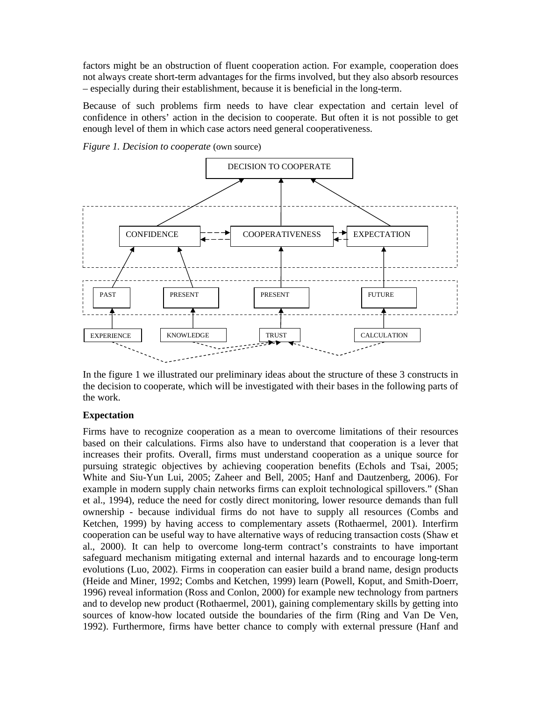factors might be an obstruction of fluent cooperation action. For example, cooperation does not always create short-term advantages for the firms involved, but they also absorb resources – especially during their establishment, because it is beneficial in the long-term.

Because of such problems firm needs to have clear expectation and certain level of confidence in others' action in the decision to cooperate. But often it is not possible to get enough level of them in which case actors need general cooperativeness.

*Figure 1. Decision to cooperate* (own source)



In the figure 1 we illustrated our preliminary ideas about the structure of these 3 constructs in the decision to cooperate, which will be investigated with their bases in the following parts of the work.

# **Expectation**

Firms have to recognize cooperation as a mean to overcome limitations of their resources based on their calculations. Firms also have to understand that cooperation is a lever that increases their profits. Overall, firms must understand cooperation as a unique source for pursuing strategic objectives by achieving cooperation benefits (Echols and Tsai, 2005; White and Siu-Yun Lui, 2005; Zaheer and Bell, 2005; Hanf and Dautzenberg, 2006). For example in modern supply chain networks firms can exploit technological spillovers." (Shan et al., 1994), reduce the need for costly direct monitoring, lower resource demands than full ownership - because individual firms do not have to supply all resources (Combs and Ketchen, 1999) by having access to complementary assets (Rothaermel, 2001). Interfirm cooperation can be useful way to have alternative ways of reducing transaction costs (Shaw et al., 2000). It can help to overcome long-term contract's constraints to have important safeguard mechanism mitigating external and internal hazards and to encourage long-term evolutions (Luo, 2002). Firms in cooperation can easier build a brand name, design products (Heide and Miner, 1992; Combs and Ketchen, 1999) learn (Powell, Koput, and Smith-Doerr, 1996) reveal information (Ross and Conlon, 2000) for example new technology from partners and to develop new product (Rothaermel, 2001), gaining complementary skills by getting into sources of know-how located outside the boundaries of the firm (Ring and Van De Ven, 1992). Furthermore, firms have better chance to comply with external pressure (Hanf and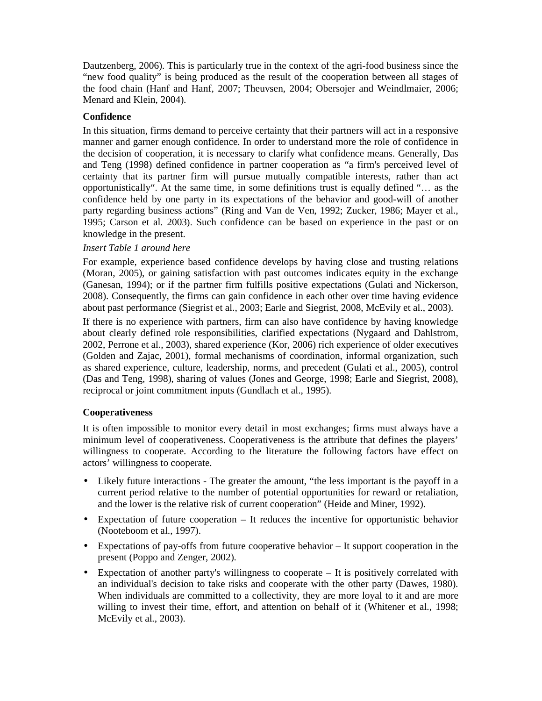Dautzenberg, 2006). This is particularly true in the context of the agri-food business since the "new food quality" is being produced as the result of the cooperation between all stages of the food chain (Hanf and Hanf, 2007; Theuvsen, 2004; Obersojer and Weindlmaier, 2006; Menard and Klein, 2004).

# **Confidence**

In this situation, firms demand to perceive certainty that their partners will act in a responsive manner and garner enough confidence. In order to understand more the role of confidence in the decision of cooperation, it is necessary to clarify what confidence means. Generally, Das and Teng (1998) defined confidence in partner cooperation as "a firm's perceived level of certainty that its partner firm will pursue mutually compatible interests, rather than act opportunistically". At the same time, in some definitions trust is equally defined "… as the confidence held by one party in its expectations of the behavior and good-will of another party regarding business actions" (Ring and Van de Ven, 1992; Zucker, 1986; Mayer et al., 1995; Carson et al. 2003). Such confidence can be based on experience in the past or on knowledge in the present.

# *Insert Table 1 around here*

For example, experience based confidence develops by having close and trusting relations (Moran, 2005), or gaining satisfaction with past outcomes indicates equity in the exchange (Ganesan, 1994); or if the partner firm fulfills positive expectations (Gulati and Nickerson, 2008). Consequently, the firms can gain confidence in each other over time having evidence about past performance (Siegrist et al., 2003; Earle and Siegrist, 2008, McEvily et al., 2003).

If there is no experience with partners, firm can also have confidence by having knowledge about clearly defined role responsibilities, clarified expectations (Nygaard and Dahlstrom, 2002, Perrone et al., 2003), shared experience (Kor, 2006) rich experience of older executives (Golden and Zajac, 2001), formal mechanisms of coordination, informal organization, such as shared experience, culture, leadership, norms, and precedent (Gulati et al., 2005), control (Das and Teng, 1998), sharing of values (Jones and George, 1998; Earle and Siegrist, 2008), reciprocal or joint commitment inputs (Gundlach et al., 1995).

# **Cooperativeness**

It is often impossible to monitor every detail in most exchanges; firms must always have a minimum level of cooperativeness. Cooperativeness is the attribute that defines the players' willingness to cooperate. According to the literature the following factors have effect on actors' willingness to cooperate.

- Likely future interactions The greater the amount, "the less important is the payoff in a current period relative to the number of potential opportunities for reward or retaliation, and the lower is the relative risk of current cooperation" (Heide and Miner, 1992).
- Expectation of future cooperation It reduces the incentive for opportunistic behavior (Nooteboom et al., 1997).
- Expectations of pay-offs from future cooperative behavior It support cooperation in the present (Poppo and Zenger, 2002).
- Expectation of another party's willingness to cooperate It is positively correlated with an individual's decision to take risks and cooperate with the other party (Dawes, 1980). When individuals are committed to a collectivity, they are more loyal to it and are more willing to invest their time, effort, and attention on behalf of it (Whitener et al., 1998; McEvily et al., 2003).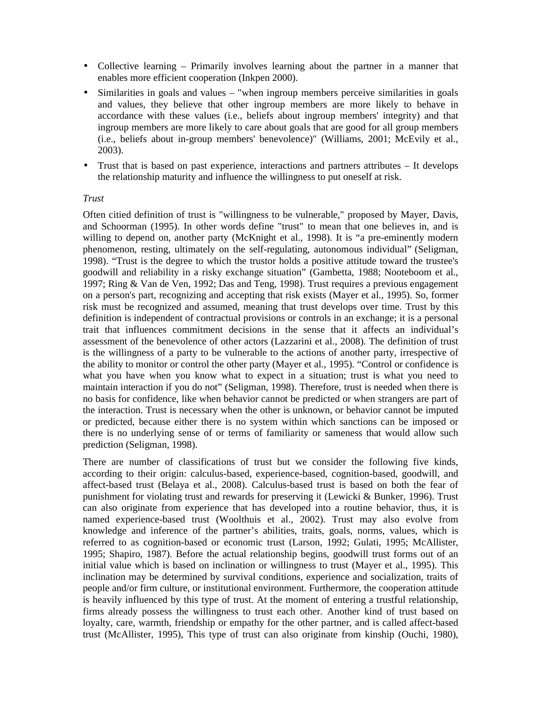- Collective learning Primarily involves learning about the partner in a manner that enables more efficient cooperation (Inkpen 2000).
- Similarities in goals and values "when ingroup members perceive similarities in goals and values, they believe that other ingroup members are more likely to behave in accordance with these values (i.e., beliefs about ingroup members' integrity) and that ingroup members are more likely to care about goals that are good for all group members (i.e., beliefs about in-group members' benevolence)" (Williams, 2001; McEvily et al., 2003).
- Trust that is based on past experience, interactions and partners attributes It develops the relationship maturity and influence the willingness to put oneself at risk.

### *Trust*

Often citied definition of trust is "willingness to be vulnerable," proposed by Mayer, Davis, and Schoorman (1995). In other words define "trust" to mean that one believes in, and is willing to depend on, another party (McKnight et al., 1998). It is "a pre-eminently modern phenomenon, resting, ultimately on the self-regulating, autonomous individual" (Seligman, 1998). "Trust is the degree to which the trustor holds a positive attitude toward the trustee's goodwill and reliability in a risky exchange situation" (Gambetta, 1988; Nooteboom et al., 1997; Ring & Van de Ven, 1992; Das and Teng, 1998). Trust requires a previous engagement on a person's part, recognizing and accepting that risk exists (Mayer et al., 1995). So, former risk must be recognized and assumed, meaning that trust develops over time. Trust by this definition is independent of contractual provisions or controls in an exchange; it is a personal trait that influences commitment decisions in the sense that it affects an individual's assessment of the benevolence of other actors (Lazzarini et al., 2008). The definition of trust is the willingness of a party to be vulnerable to the actions of another party, irrespective of the ability to monitor or control the other party (Mayer et al., 1995). "Control or confidence is what you have when you know what to expect in a situation; trust is what you need to maintain interaction if you do not" (Seligman, 1998). Therefore, trust is needed when there is no basis for confidence, like when behavior cannot be predicted or when strangers are part of the interaction. Trust is necessary when the other is unknown, or behavior cannot be imputed or predicted, because either there is no system within which sanctions can be imposed or there is no underlying sense of or terms of familiarity or sameness that would allow such prediction (Seligman, 1998).

There are number of classifications of trust but we consider the following five kinds, according to their origin: calculus-based, experience-based, cognition-based, goodwill, and affect-based trust (Belaya et al., 2008). Calculus-based trust is based on both the fear of punishment for violating trust and rewards for preserving it (Lewicki & Bunker, 1996). Trust can also originate from experience that has developed into a routine behavior, thus, it is named experience-based trust (Woolthuis et al., 2002). Trust may also evolve from knowledge and inference of the partner's abilities, traits, goals, norms, values, which is referred to as cognition-based or economic trust (Larson, 1992; Gulati, 1995; McAllister, 1995; Shapiro, 1987). Before the actual relationship begins, goodwill trust forms out of an initial value which is based on inclination or willingness to trust (Mayer et al., 1995). This inclination may be determined by survival conditions, experience and socialization, traits of people and/or firm culture, or institutional environment. Furthermore, the cooperation attitude is heavily influenced by this type of trust. At the moment of entering a trustful relationship, firms already possess the willingness to trust each other. Another kind of trust based on loyalty, care, warmth, friendship or empathy for the other partner, and is called affect-based trust (McAllister, 1995), This type of trust can also originate from kinship (Ouchi, 1980),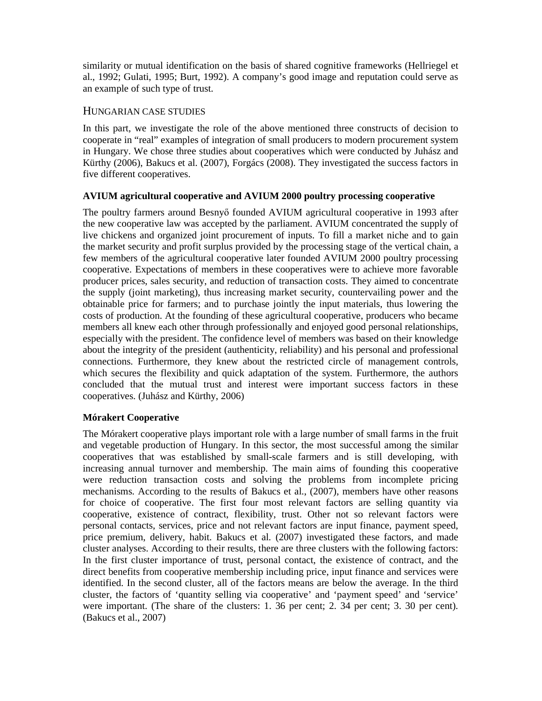similarity or mutual identification on the basis of shared cognitive frameworks (Hellriegel et al., 1992; Gulati, 1995; Burt, 1992). A company's good image and reputation could serve as an example of such type of trust.

# HUNGARIAN CASE STUDIES

In this part, we investigate the role of the above mentioned three constructs of decision to cooperate in "real" examples of integration of small producers to modern procurement system in Hungary. We chose three studies about cooperatives which were conducted by Juhász and Kürthy (2006), Bakucs et al. (2007), Forgács (2008). They investigated the success factors in five different cooperatives.

# **AVIUM agricultural cooperative and AVIUM 2000 poultry processing cooperative**

The poultry farmers around Besnyő founded AVIUM agricultural cooperative in 1993 after the new cooperative law was accepted by the parliament. AVIUM concentrated the supply of live chickens and organized joint procurement of inputs. To fill a market niche and to gain the market security and profit surplus provided by the processing stage of the vertical chain, a few members of the agricultural cooperative later founded AVIUM 2000 poultry processing cooperative. Expectations of members in these cooperatives were to achieve more favorable producer prices, sales security, and reduction of transaction costs. They aimed to concentrate the supply (joint marketing), thus increasing market security, countervailing power and the obtainable price for farmers; and to purchase jointly the input materials, thus lowering the costs of production. At the founding of these agricultural cooperative, producers who became members all knew each other through professionally and enjoyed good personal relationships, especially with the president. The confidence level of members was based on their knowledge about the integrity of the president (authenticity, reliability) and his personal and professional connections. Furthermore, they knew about the restricted circle of management controls, which secures the flexibility and quick adaptation of the system. Furthermore, the authors concluded that the mutual trust and interest were important success factors in these cooperatives. (Juhász and Kürthy, 2006)

# **Mórakert Cooperative**

The Mórakert cooperative plays important role with a large number of small farms in the fruit and vegetable production of Hungary. In this sector, the most successful among the similar cooperatives that was established by small-scale farmers and is still developing, with increasing annual turnover and membership. The main aims of founding this cooperative were reduction transaction costs and solving the problems from incomplete pricing mechanisms. According to the results of Bakucs et al., (2007), members have other reasons for choice of cooperative. The first four most relevant factors are selling quantity via cooperative, existence of contract, flexibility, trust. Other not so relevant factors were personal contacts, services, price and not relevant factors are input finance, payment speed, price premium, delivery, habit. Bakucs et al. (2007) investigated these factors, and made cluster analyses. According to their results, there are three clusters with the following factors: In the first cluster importance of trust, personal contact, the existence of contract, and the direct benefits from cooperative membership including price, input finance and services were identified. In the second cluster, all of the factors means are below the average. In the third cluster, the factors of 'quantity selling via cooperative' and 'payment speed' and 'service' were important. (The share of the clusters: 1. 36 per cent; 2. 34 per cent; 3. 30 per cent). (Bakucs et al., 2007)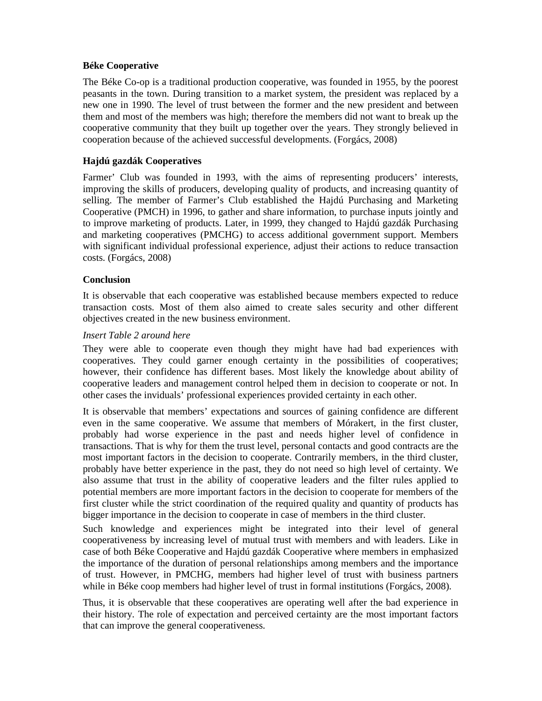# **Béke Cooperative**

The Béke Co-op is a traditional production cooperative, was founded in 1955, by the poorest peasants in the town. During transition to a market system, the president was replaced by a new one in 1990. The level of trust between the former and the new president and between them and most of the members was high; therefore the members did not want to break up the cooperative community that they built up together over the years. They strongly believed in cooperation because of the achieved successful developments. (Forgács, 2008)

# **Hajdú gazdák Cooperatives**

Farmer' Club was founded in 1993, with the aims of representing producers' interests, improving the skills of producers, developing quality of products, and increasing quantity of selling. The member of Farmer's Club established the Hajdú Purchasing and Marketing Cooperative (PMCH) in 1996, to gather and share information, to purchase inputs jointly and to improve marketing of products. Later, in 1999, they changed to Hajdú gazdák Purchasing and marketing cooperatives (PMCHG) to access additional government support. Members with significant individual professional experience, adjust their actions to reduce transaction costs. (Forgács, 2008)

# **Conclusion**

It is observable that each cooperative was established because members expected to reduce transaction costs. Most of them also aimed to create sales security and other different objectives created in the new business environment.

# *Insert Table 2 around here*

They were able to cooperate even though they might have had bad experiences with cooperatives. They could garner enough certainty in the possibilities of cooperatives; however, their confidence has different bases. Most likely the knowledge about ability of cooperative leaders and management control helped them in decision to cooperate or not. In other cases the inviduals' professional experiences provided certainty in each other.

It is observable that members' expectations and sources of gaining confidence are different even in the same cooperative. We assume that members of Mórakert, in the first cluster, probably had worse experience in the past and needs higher level of confidence in transactions. That is why for them the trust level, personal contacts and good contracts are the most important factors in the decision to cooperate. Contrarily members, in the third cluster, probably have better experience in the past, they do not need so high level of certainty. We also assume that trust in the ability of cooperative leaders and the filter rules applied to potential members are more important factors in the decision to cooperate for members of the first cluster while the strict coordination of the required quality and quantity of products has bigger importance in the decision to cooperate in case of members in the third cluster.

Such knowledge and experiences might be integrated into their level of general cooperativeness by increasing level of mutual trust with members and with leaders. Like in case of both Béke Cooperative and Hajdú gazdák Cooperative where members in emphasized the importance of the duration of personal relationships among members and the importance of trust. However, in PMCHG, members had higher level of trust with business partners while in Béke coop members had higher level of trust in formal institutions (Forgács, 2008).

Thus, it is observable that these cooperatives are operating well after the bad experience in their history. The role of expectation and perceived certainty are the most important factors that can improve the general cooperativeness.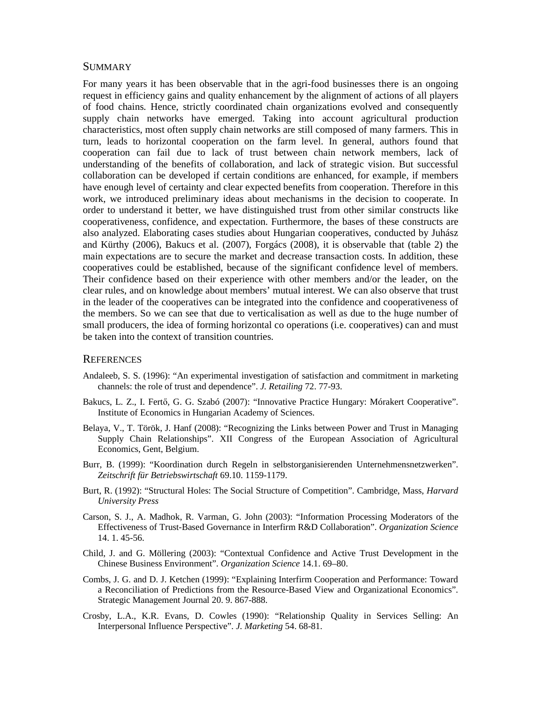### **SUMMARY**

For many years it has been observable that in the agri-food businesses there is an ongoing request in efficiency gains and quality enhancement by the alignment of actions of all players of food chains. Hence, strictly coordinated chain organizations evolved and consequently supply chain networks have emerged. Taking into account agricultural production characteristics, most often supply chain networks are still composed of many farmers. This in turn, leads to horizontal cooperation on the farm level. In general, authors found that cooperation can fail due to lack of trust between chain network members, lack of understanding of the benefits of collaboration, and lack of strategic vision. But successful collaboration can be developed if certain conditions are enhanced, for example, if members have enough level of certainty and clear expected benefits from cooperation. Therefore in this work, we introduced preliminary ideas about mechanisms in the decision to cooperate. In order to understand it better, we have distinguished trust from other similar constructs like cooperativeness, confidence, and expectation. Furthermore, the bases of these constructs are also analyzed. Elaborating cases studies about Hungarian cooperatives, conducted by Juhász and Kürthy (2006), Bakucs et al. (2007), Forgács (2008), it is observable that (table 2) the main expectations are to secure the market and decrease transaction costs. In addition, these cooperatives could be established, because of the significant confidence level of members. Their confidence based on their experience with other members and/or the leader, on the clear rules, and on knowledge about members' mutual interest. We can also observe that trust in the leader of the cooperatives can be integrated into the confidence and cooperativeness of the members. So we can see that due to verticalisation as well as due to the huge number of small producers, the idea of forming horizontal co operations (i.e. cooperatives) can and must be taken into the context of transition countries.

### **REFERENCES**

- Andaleeb, S. S. (1996): "An experimental investigation of satisfaction and commitment in marketing channels: the role of trust and dependence". *J. Retailing* 72. 77-93.
- Bakucs, L. Z., I. Fertő, G. G. Szabó (2007): "Innovative Practice Hungary: Mórakert Cooperative". Institute of Economics in Hungarian Academy of Sciences.
- Belaya, V., T. Török, J. Hanf (2008): "Recognizing the Links between Power and Trust in Managing Supply Chain Relationships". XII Congress of the European Association of Agricultural Economics, Gent, Belgium.
- Burr, B. (1999): "Koordination durch Regeln in selbstorganisierenden Unternehmensnetzwerken". *Zeitschrift für Betriebswirtschaft* 69.10. 1159-1179.
- Burt, R. (1992): "Structural Holes: The Social Structure of Competition". Cambridge, Mass, *Harvard University Press*
- Carson, S. J., A. Madhok, R. Varman, G. John (2003): "Information Processing Moderators of the Effectiveness of Trust-Based Governance in Interfirm R&D Collaboration". *Organization Science* 14. 1. 45-56.
- Child, J. and G. Möllering (2003): "Contextual Confidence and Active Trust Development in the Chinese Business Environment". *Organization Science* 14.1. 69–80.
- Combs, J. G. and D. J. Ketchen (1999): "Explaining Interfirm Cooperation and Performance: Toward a Reconciliation of Predictions from the Resource-Based View and Organizational Economics". Strategic Management Journal 20. 9. 867-888.
- Crosby, L.A., K.R. Evans, D. Cowles (1990): "Relationship Quality in Services Selling: An Interpersonal Influence Perspective". *J. Marketing* 54. 68-81.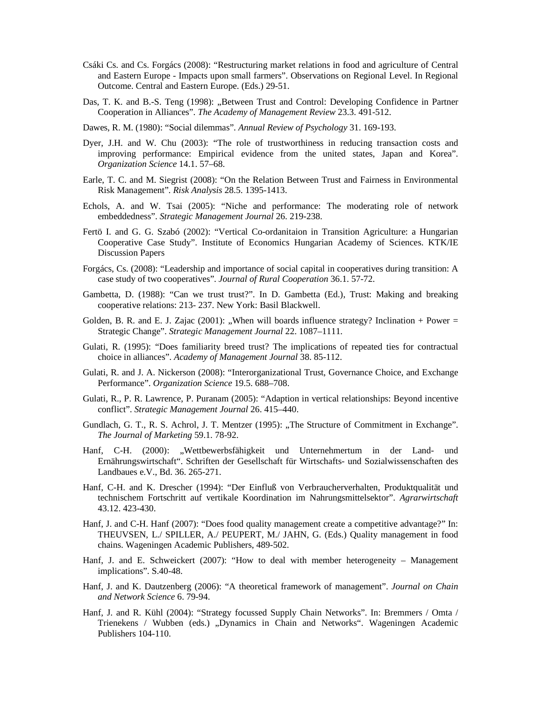- Csáki Cs. and Cs. Forgács (2008): "Restructuring market relations in food and agriculture of Central and Eastern Europe - Impacts upon small farmers". Observations on Regional Level. In Regional Outcome. Central and Eastern Europe. (Eds.) 29-51.
- Das, T. K. and B.-S. Teng (1998): "Between Trust and Control: Developing Confidence in Partner Cooperation in Alliances". *The Academy of Management Review* 23.3. 491-512.
- Dawes, R. M. (1980): "Social dilemmas". *Annual Review of Psychology* 31. 169-193.
- Dyer, J.H. and W. Chu (2003): "The role of trustworthiness in reducing transaction costs and improving performance: Empirical evidence from the united states, Japan and Korea". *Organization Science* 14.1. 57–68.
- Earle, T. C. and M. Siegrist (2008): "On the Relation Between Trust and Fairness in Environmental Risk Management". *Risk Analysis* 28.5. 1395-1413.
- Echols, A. and W. Tsai (2005): "Niche and performance: The moderating role of network embeddedness". *Strategic Management Journal* 26. 219-238.
- Fertö I. and G. G. Szabó (2002): "Vertical Co-ordanitaion in Transition Agriculture: a Hungarian Cooperative Case Study". Institute of Economics Hungarian Academy of Sciences. KTK/IE Discussion Papers
- Forgács, Cs. (2008): "Leadership and importance of social capital in cooperatives during transition: A case study of two cooperatives". *Journal of Rural Cooperation* 36.1. 57-72.
- Gambetta, D. (1988): "Can we trust trust?". In D. Gambetta (Ed.), Trust: Making and breaking cooperative relations: 213- 237. New York: Basil Blackwell.
- Golden, B. R. and E. J. Zajac (2001): "When will boards influence strategy? Inclination + Power = Strategic Change". *Strategic Management Journal* 22. 1087–1111.
- Gulati, R. (1995): "Does familiarity breed trust? The implications of repeated ties for contractual choice in alliances". *Academy of Management Journal* 38. 85-112.
- Gulati, R. and J. A. Nickerson (2008): "Interorganizational Trust, Governance Choice, and Exchange Performance". *Organization Science* 19.5. 688–708.
- Gulati, R., P. R. Lawrence, P. Puranam (2005): "Adaption in vertical relationships: Beyond incentive conflict". *Strategic Management Journal* 26. 415–440.
- Gundlach, G. T., R. S. Achrol, J. T. Mentzer (1995): "The Structure of Commitment in Exchange". *The Journal of Marketing* 59.1. 78-92.
- Hanf, C-H. (2000): "Wettbewerbsfähigkeit und Unternehmertum in der Land- und Ernährungswirtschaft". Schriften der Gesellschaft für Wirtschafts- und Sozialwissenschaften des Landbaues e.V., Bd. 36. 265-271.
- Hanf, C-H. and K. Drescher (1994): "Der Einfluß von Verbraucherverhalten, Produktqualität und technischem Fortschritt auf vertikale Koordination im Nahrungsmittelsektor". *Agrarwirtschaft* 43.12. 423-430.
- Hanf, J. and C-H. Hanf (2007): "Does food quality management create a competitive advantage?" In: THEUVSEN, L./ SPILLER, A./ PEUPERT, M./ JAHN, G. (Eds.) Quality management in food chains. Wageningen Academic Publishers, 489-502.
- Hanf, J. and E. Schweickert (2007): "How to deal with member heterogeneity Management implications". S.40-48.
- Hanf, J. and K. Dautzenberg (2006): "A theoretical framework of management". *Journal on Chain and Network Science* 6. 79-94.
- Hanf, J. and R. Kühl (2004): "Strategy focussed Supply Chain Networks". In: Bremmers / Omta / Trienekens / Wubben (eds.) "Dynamics in Chain and Networks". Wageningen Academic Publishers 104-110.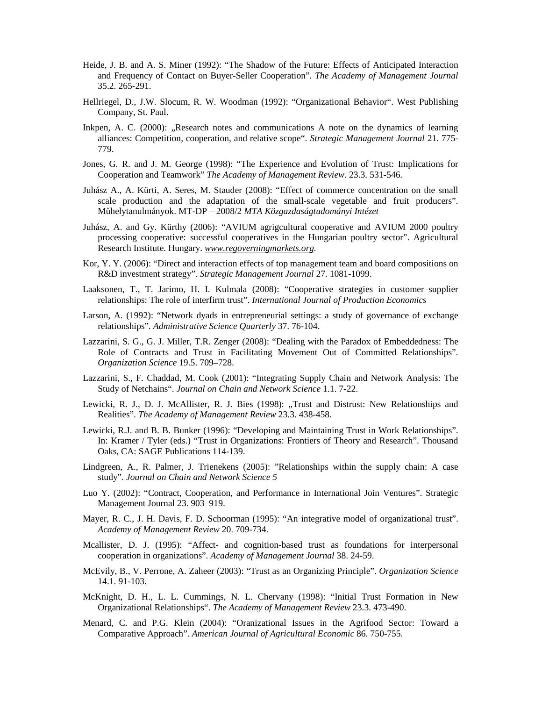- Heide, J. B. and A. S. Miner (1992): "The Shadow of the Future: Effects of Anticipated Interaction and Frequency of Contact on Buyer-Seller Cooperation". *The Academy of Management Journal* 35.2. 265-291.
- Hellriegel, D., J.W. Slocum, R. W. Woodman (1992): "Organizational Behavior". West Publishing Company, St. Paul.
- Inkpen, A. C.  $(2000)$ : "Research notes and communications A note on the dynamics of learning alliances: Competition, cooperation, and relative scope". *Strategic Management Journal* 21. 775- 779.
- Jones, G. R. and J. M. George (1998): "The Experience and Evolution of Trust: Implications for Cooperation and Teamwork" *The Academy of Management Review.* 23.3. 531-546.
- Juhász A., A. Kürti, A. Seres, M. Stauder (2008): "Effect of commerce concentration on the small scale production and the adaptation of the small-scale vegetable and fruit producers". Mőhelytanulmányok. MT-DP – 2008/2 *MTA Közgazdaságtudományi Intézet*
- Juhász, A. and Gy. Kürthy (2006): "AVIUM agrigcultural cooperative and AVIUM 2000 poultry processing cooperative: successful cooperatives in the Hungarian poultry sector". Agricultural Research Institute. Hungary. *www.regoverningmarkets.org.*
- Kor, Y. Y. (2006): "Direct and interaction effects of top management team and board compositions on R&D investment strategy". *Strategic Management Journal* 27. 1081-1099.
- Laaksonen, T., T. Jarimo, H. I. Kulmala (2008): "Cooperative strategies in customer–supplier relationships: The role of interfirm trust". *International Journal of Production Economics*
- Larson, A. (1992): "Network dyads in entrepreneurial settings: a study of governance of exchange relationships". *Administrative Science Quarterly* 37. 76-104.
- Lazzarini, S. G., G. J. Miller, T.R. Zenger (2008): "Dealing with the Paradox of Embeddedness: The Role of Contracts and Trust in Facilitating Movement Out of Committed Relationships". *Organization Science* 19.5. 709–728.
- Lazzarini, S., F. Chaddad, M. Cook (2001): "Integrating Supply Chain and Network Analysis: The Study of Netchains". *Journal on Chain and Network Science* 1.1. 7-22.
- Lewicki, R. J., D. J. McAllister, R. J. Bies (1998): "Trust and Distrust: New Relationships and Realities". *The Academy of Management Review* 23.3. 438-458.
- Lewicki, R.J. and B. B. Bunker (1996): "Developing and Maintaining Trust in Work Relationships". In: Kramer / Tyler (eds.) "Trust in Organizations: Frontiers of Theory and Research". Thousand Oaks, CA: SAGE Publications 114-139.
- Lindgreen, A., R. Palmer, J. Trienekens (2005): "Relationships within the supply chain: A case study". *Journal on Chain and Network Science 5*
- Luo Y. (2002): "Contract, Cooperation, and Performance in International Join Ventures". Strategic Management Journal 23. 903–919.
- Mayer, R. C., J. H. Davis, F. D. Schoorman (1995): "An integrative model of organizational trust". *Academy of Management Review* 20. 709-734.
- Mcallister, D. J. (1995): "Affect- and cognition-based trust as foundations for interpersonal cooperation in organizations". *Academy of Management Journal* 38. 24-59.
- McEvily, B., V. Perrone, A. Zaheer (2003): "Trust as an Organizing Principle". *Organization Science* 14.1. 91-103.
- McKnight, D. H., L. L. Cummings, N. L. Chervany (1998): "Initial Trust Formation in New Organizational Relationships". *The Academy of Management Review* 23.3. 473-490.
- Menard, C. and P.G. Klein (2004): "Oranizational Issues in the Agrifood Sector: Toward a Comparative Approach". *American Journal of Agricultural Economic* 86. 750-755.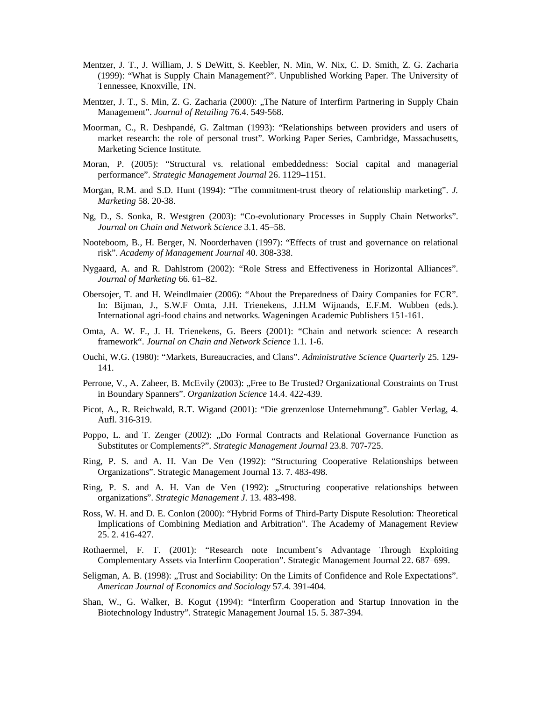- Mentzer, J. T., J. William, J. S DeWitt, S. Keebler, N. Min, W. Nix, C. D. Smith, Z. G. Zacharia (1999): "What is Supply Chain Management?". Unpublished Working Paper. The University of Tennessee, Knoxville, TN.
- Mentzer, J. T., S. Min, Z. G. Zacharia (2000): "The Nature of Interfirm Partnering in Supply Chain Management". *Journal of Retailing* 76.4. 549-568.
- Moorman, C., R. Deshpandé, G. Zaltman (1993): "Relationships between providers and users of market research: the role of personal trust". Working Paper Series, Cambridge, Massachusetts, Marketing Science Institute.
- Moran, P. (2005): "Structural vs. relational embeddedness: Social capital and managerial performance". *Strategic Management Journal* 26. 1129–1151.
- Morgan, R.M. and S.D. Hunt (1994): "The commitment-trust theory of relationship marketing". *J. Marketing* 58. 20-38.
- Ng, D., S. Sonka, R. Westgren (2003): "Co-evolutionary Processes in Supply Chain Networks". *Journal on Chain and Network Science* 3.1. 45–58.
- Nooteboom, B., H. Berger, N. Noorderhaven (1997): "Effects of trust and governance on relational risk". *Academy of Management Journal* 40. 308-338.
- Nygaard, A. and R. Dahlstrom (2002): "Role Stress and Effectiveness in Horizontal Alliances". *Journal of Marketing* 66. 61–82.
- Obersojer, T. and H. Weindlmaier (2006): "About the Preparedness of Dairy Companies for ECR". In: Bijman, J., S.W.F Omta, J.H. Trienekens, J.H.M Wijnands, E.F.M. Wubben (eds.). International agri-food chains and networks. Wageningen Academic Publishers 151-161.
- Omta, A. W. F., J. H. Trienekens, G. Beers (2001): "Chain and network science: A research framework". *Journal on Chain and Network Science* 1.1. 1-6.
- Ouchi, W.G. (1980): "Markets, Bureaucracies, and Clans". *Administrative Science Quarterly* 25. 129- 141.
- Perrone, V., A. Zaheer, B. McEvily (2003): "Free to Be Trusted? Organizational Constraints on Trust in Boundary Spanners". *Organization Science* 14.4. 422-439.
- Picot, A., R. Reichwald, R.T. Wigand (2001): "Die grenzenlose Unternehmung". Gabler Verlag, 4. Aufl. 316-319.
- Poppo, L. and T. Zenger (2002): "Do Formal Contracts and Relational Governance Function as Substitutes or Complements?". *Strategic Management Journal* 23.8. 707-725.
- Ring, P. S. and A. H. Van De Ven (1992): "Structuring Cooperative Relationships between Organizations". Strategic Management Journal 13. 7. 483-498.
- Ring, P. S. and A. H. Van de Ven (1992): "Structuring cooperative relationships between organizations". *Strategic Management J*. 13. 483-498.
- Ross, W. H. and D. E. Conlon (2000): "Hybrid Forms of Third-Party Dispute Resolution: Theoretical Implications of Combining Mediation and Arbitration". The Academy of Management Review 25. 2. 416-427.
- Rothaermel, F. T. (2001): "Research note Incumbent's Advantage Through Exploiting Complementary Assets via Interfirm Cooperation". Strategic Management Journal 22. 687–699.
- Seligman, A. B. (1998): "Trust and Sociability: On the Limits of Confidence and Role Expectations". *American Journal of Economics and Sociology* 57.4. 391-404.
- Shan, W., G. Walker, B. Kogut (1994): "Interfirm Cooperation and Startup Innovation in the Biotechnology Industry". Strategic Management Journal 15. 5. 387-394.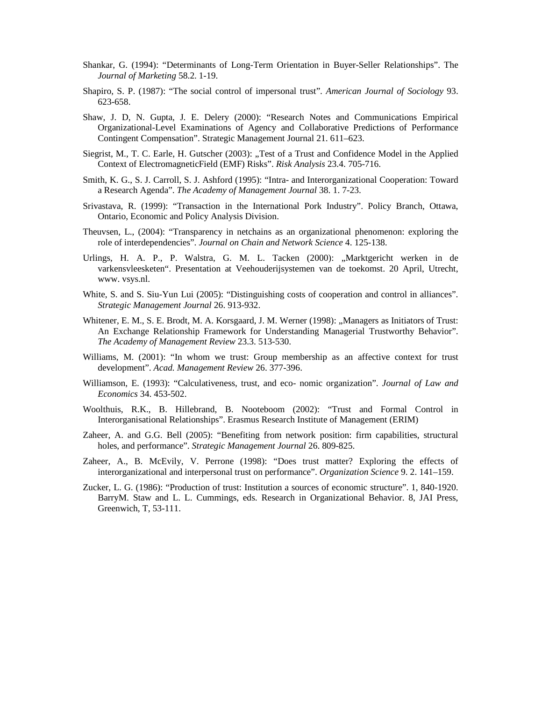- Shankar, G. (1994): "Determinants of Long-Term Orientation in Buyer-Seller Relationships". The *Journal of Marketing* 58.2. 1-19.
- Shapiro, S. P. (1987): "The social control of impersonal trust". *American Journal of Sociology* 93. 623-658.
- Shaw, J. D, N. Gupta, J. E. Delery (2000): "Research Notes and Communications Empirical Organizational-Level Examinations of Agency and Collaborative Predictions of Performance Contingent Compensation". Strategic Management Journal 21. 611–623.
- Siegrist, M., T. C. Earle, H. Gutscher (2003): "Test of a Trust and Confidence Model in the Applied Context of ElectromagneticField (EMF) Risks". *Risk Analysis* 23.4. 705-716.
- Smith, K. G., S. J. Carroll, S. J. Ashford (1995): "Intra- and Interorganizational Cooperation: Toward a Research Agenda". *The Academy of Management Journal* 38. 1. 7-23.
- Srivastava, R. (1999): "Transaction in the International Pork Industry". Policy Branch, Ottawa, Ontario, Economic and Policy Analysis Division.
- Theuvsen, L., (2004): "Transparency in netchains as an organizational phenomenon: exploring the role of interdependencies". *Journal on Chain and Network Science* 4. 125-138.
- Urlings, H. A. P., P. Walstra, G. M. L. Tacken (2000): "Marktgericht werken in de varkensvleesketen". Presentation at Veehouderijsystemen van de toekomst. 20 April, Utrecht, www. vsys.nl.
- White, S. and S. Siu-Yun Lui (2005): "Distinguishing costs of cooperation and control in alliances". *Strategic Management Journal* 26. 913-932.
- Whitener, E. M., S. E. Brodt, M. A. Korsgaard, J. M. Werner (1998): "Managers as Initiators of Trust: An Exchange Relationship Framework for Understanding Managerial Trustworthy Behavior". *The Academy of Management Review* 23.3. 513-530.
- Williams, M. (2001): "In whom we trust: Group membership as an affective context for trust development". *Acad. Management Review* 26. 377-396.
- Williamson, E. (1993): "Calculativeness, trust, and eco- nomic organization". *Journal of Law and Economics* 34. 453-502.
- Woolthuis, R.K., B. Hillebrand, B. Nooteboom (2002): "Trust and Formal Control in Interorganisational Relationships". Erasmus Research Institute of Management (ERIM)
- Zaheer, A. and G.G. Bell (2005): "Benefiting from network position: firm capabilities, structural holes, and performance". *Strategic Management Journal* 26. 809-825.
- Zaheer, A., B. McEvily, V. Perrone (1998): "Does trust matter? Exploring the effects of interorganizational and interpersonal trust on performance". *Organization Science* 9. 2. 141–159.
- Zucker, L. G. (1986): "Production of trust: Institution a sources of economic structure". 1, 840-1920. BarryM. Staw and L. L. Cummings, eds. Research in Organizational Behavior. 8, JAI Press, Greenwich, T, 53-111.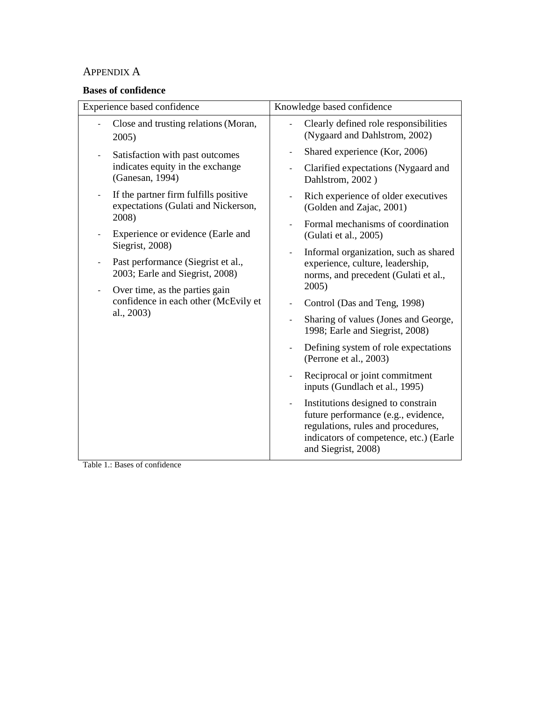# APPENDIX A

# **Bases of confidence**

| Experience based confidence                                                                                                                                                     | Knowledge based confidence                                                                                                                                                                                |  |  |
|---------------------------------------------------------------------------------------------------------------------------------------------------------------------------------|-----------------------------------------------------------------------------------------------------------------------------------------------------------------------------------------------------------|--|--|
| Close and trusting relations (Moran,<br>2005)                                                                                                                                   | Clearly defined role responsibilities<br>(Nygaard and Dahlstrom, 2002)                                                                                                                                    |  |  |
| Satisfaction with past outcomes<br>indicates equity in the exchange<br>(Ganesan, 1994)<br>If the partner firm fulfills positive<br>expectations (Gulati and Nickerson,<br>2008) | Shared experience (Kor, 2006)<br>$\overline{\phantom{a}}$<br>Clarified expectations (Nygaard and<br>$\blacksquare$<br>Dahlstrom, 2002)<br>Rich experience of older executives<br>(Golden and Zajac, 2001) |  |  |
| Experience or evidence (Earle and<br>Siegrist, 2008)                                                                                                                            | Formal mechanisms of coordination<br>(Gulati et al., 2005)                                                                                                                                                |  |  |
| Past performance (Siegrist et al.,<br>2003; Earle and Siegrist, 2008)<br>Over time, as the parties gain                                                                         | Informal organization, such as shared<br>$\blacksquare$<br>experience, culture, leadership,<br>norms, and precedent (Gulati et al.,<br>2005)                                                              |  |  |
| confidence in each other (McEvily et                                                                                                                                            | Control (Das and Teng, 1998)                                                                                                                                                                              |  |  |
| al., 2003)                                                                                                                                                                      | Sharing of values (Jones and George,<br>$\overline{a}$<br>1998; Earle and Siegrist, 2008)                                                                                                                 |  |  |
|                                                                                                                                                                                 | Defining system of role expectations<br>(Perrone et al., 2003)                                                                                                                                            |  |  |
|                                                                                                                                                                                 | Reciprocal or joint commitment<br>inputs (Gundlach et al., 1995)                                                                                                                                          |  |  |
|                                                                                                                                                                                 | Institutions designed to constrain<br>$\frac{1}{2}$<br>future performance (e.g., evidence,<br>regulations, rules and procedures,<br>indicators of competence, etc.) (Earle<br>and Siegrist, 2008)         |  |  |

Table 1.: Bases of confidence